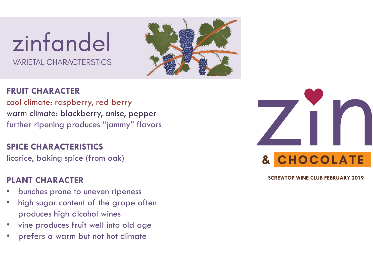# zinfandel **VARIETAL CHARACTERSTICS**



# **FRUIT CHARACTER**

cool climate: raspberry, red berry warm climate: blackberry, anise, pepper further ripening produces "jammy" flavors

## **SPICE CHARACTERISTICS**

licorice, baking spice (from oak)

## **PLANT CHARACTER**

- bunches prone to uneven ripeness
- high sugar content of the grape often produces high alcohol wines
- vine produces fruit well into old age
- prefers a warm but not hot climate

& CHOCOLATE

**SCREWTOP WINE CLUB FEBRUARY 2019**